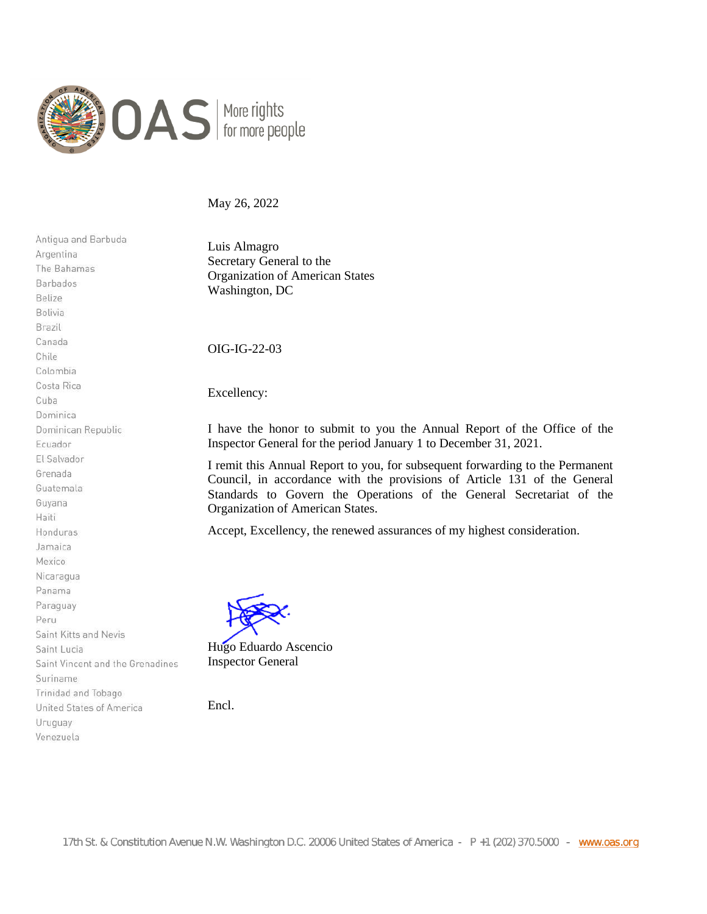

May 26, 2022

Antiqua and Barbuda Argentina The Bahamas Barbados Belize Bolivia Brazil Canada Chile Colombia Costa Rica Cuba Dominica Dominican Republic Ecuador El Salvador Grenada Guatemala Guyana Haiti Honduras Jamaica Mexico Nicaragua Panama Paraguay Peru Saint Kitts and Nevis Saint Lucia Saint Vincent and the Grenadines Suriname Trinidad and Tobago United States of America Uruguay Venezuela

Luis Almagro Secretary General to the Organization of American States Washington, DC

OIG-IG-22-03

Excellency:

I have the honor to submit to you the Annual Report of the Office of the Inspector General for the period January 1 to December 31, 2021.

I remit this Annual Report to you, for subsequent forwarding to the Permanent Council, in accordance with the provisions of Article 131 of the General Standards to Govern the Operations of the General Secretariat of the Organization of American States.

Accept, Excellency, the renewed assurances of my highest consideration.

Hugo Eduardo Ascencio Inspector General

Encl.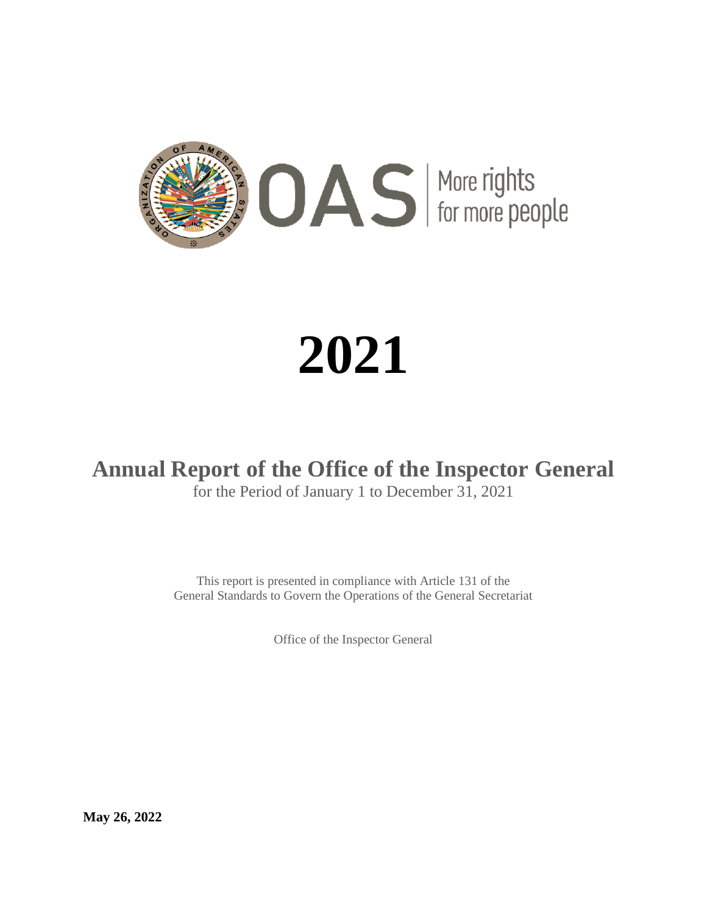

# **2021**

# **Annual Report of the Office of the Inspector General**

for the Period of January 1 to December 31, 2021

This report is presented in compliance with Article 131 of the General Standards to Govern the Operations of the General Secretariat

Office of the Inspector General

**May 26, 2022**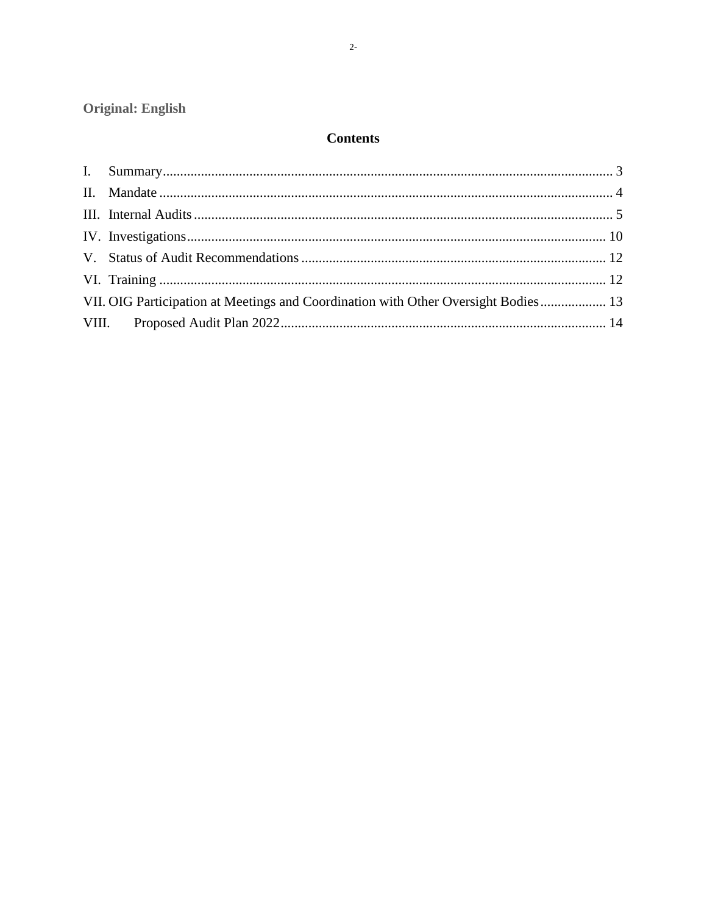Original: English

# **Contents**

| VII. OIG Participation at Meetings and Coordination with Other Oversight Bodies 13 |  |
|------------------------------------------------------------------------------------|--|
|                                                                                    |  |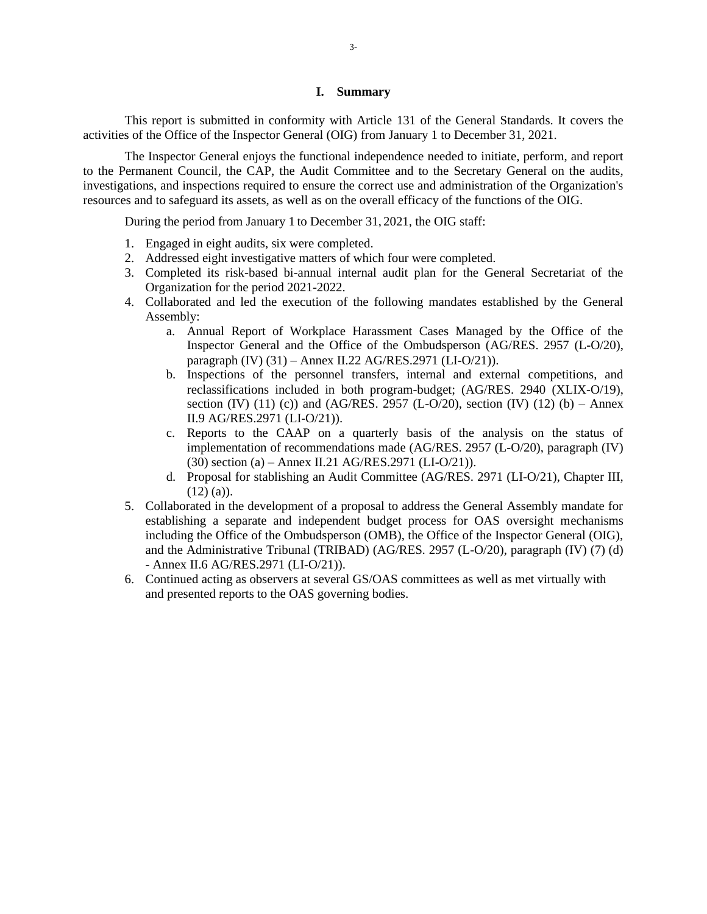#### **I. Summary**

<span id="page-3-0"></span>This report is submitted in conformity with Article 131 of the General Standards. It covers the activities of the Office of the Inspector General (OIG) from January 1 to December 31, 2021.

The Inspector General enjoys the functional independence needed to initiate, perform, and report to the Permanent Council, the CAP, the Audit Committee and to the Secretary General on the audits, investigations, and inspections required to ensure the correct use and administration of the Organization's resources and to safeguard its assets, as well as on the overall efficacy of the functions of the OIG.

During the period from January 1 to December 31, 2021, the OIG staff:

- 1. Engaged in eight audits, six were completed.
- 2. Addressed eight investigative matters of which four were completed.
- 3. Completed its risk-based bi-annual internal audit plan for the General Secretariat of the Organization for the period 2021-2022.
- 4. Collaborated and led the execution of the following mandates established by the General Assembly:
	- a. Annual Report of Workplace Harassment Cases Managed by the Office of the Inspector General and the Office of the Ombudsperson (AG/RES. 2957 (L-O/20), paragraph (IV) (31) – Annex II.22 AG/RES.2971 (LI-O/21)).
	- b. Inspections of the personnel transfers, internal and external competitions, and reclassifications included in both program-budget; (AG/RES. 2940 (XLIX-O/19), section (IV) (11) (c)) and (AG/RES. 2957 (L-O/20), section (IV) (12) (b) – Annex II.9 AG/RES.2971 (LI-O/21)).
	- c. Reports to the CAAP on a quarterly basis of the analysis on the status of implementation of recommendations made (AG/RES. 2957 (L-O/20), paragraph (IV) (30) section (a) – Annex II.21 AG/RES.2971 (LI-O/21)).
	- d. Proposal for stablishing an Audit Committee (AG/RES. 2971 (LI-O/21), Chapter III,  $(12)$  (a)).
- 5. Collaborated in the development of a proposal to address the General Assembly mandate for establishing a separate and independent budget process for OAS oversight mechanisms including the Office of the Ombudsperson (OMB), the Office of the Inspector General (OIG), and the Administrative Tribunal (TRIBAD) (AG/RES. 2957 (L-O/20), paragraph (IV) (7) (d) - Annex II.6 AG/RES.2971 (LI-O/21)).
- 6. Continued acting as observers at several GS/OAS committees as well as met virtually with and presented reports to the OAS governing bodies.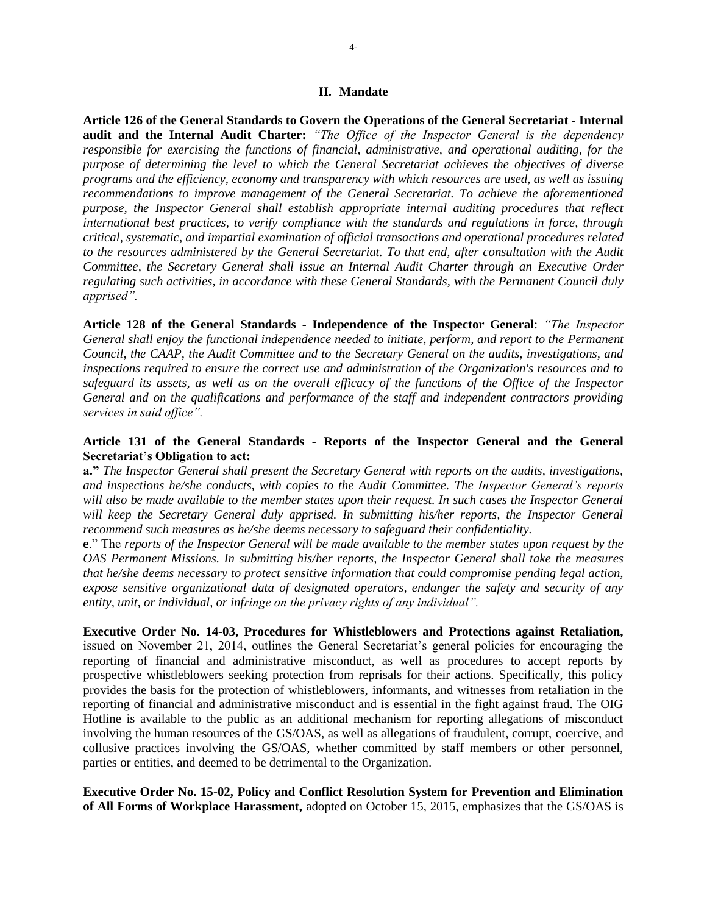#### **II. Mandate**

<span id="page-4-0"></span>**Article 126 of the General Standards to Govern the Operations of the General Secretariat - Internal audit and the Internal Audit Charter:** *"The Office of the Inspector General is the dependency responsible for exercising the functions of financial, administrative, and operational auditing, for the purpose of determining the level to which the General Secretariat achieves the objectives of diverse programs and the efficiency, economy and transparency with which resources are used, as well as issuing recommendations to improve management of the General Secretariat. To achieve the aforementioned purpose, the Inspector General shall establish appropriate internal auditing procedures that reflect international best practices, to verify compliance with the standards and regulations in force, through critical, systematic, and impartial examination of official transactions and operational procedures related to the resources administered by the General Secretariat. To that end, after consultation with the Audit Committee, the Secretary General shall issue an Internal Audit Charter through an Executive Order regulating such activities, in accordance with these General Standards, with the Permanent Council duly apprised".*

**Article 128 of the General Standards - Independence of the Inspector General**: *"The Inspector General shall enjoy the functional independence needed to initiate, perform, and report to the Permanent Council, the CAAP, the Audit Committee and to the Secretary General on the audits, investigations, and inspections required to ensure the correct use and administration of the Organization's resources and to safeguard its assets, as well as on the overall efficacy of the functions of the Office of the Inspector General and on the qualifications and performance of the staff and independent contractors providing services in said office".*

## **Article 131 of the General Standards - Reports of the Inspector General and the General Secretariat's Obligation to act:**

**a."** *The Inspector General shall present the Secretary General with reports on the audits, investigations, and inspections he/she conducts, with copies to the Audit Committee. The Inspector General's reports will also be made available to the member states upon their request. In such cases the Inspector General*  will keep the Secretary General duly apprised. In submitting his/her reports, the Inspector General *recommend such measures as he/she deems necessary to safeguard their confidentiality.*

**e**." The *reports of the Inspector General will be made available to the member states upon request by the OAS Permanent Missions. In submitting his/her reports, the Inspector General shall take the measures that he/she deems necessary to protect sensitive information that could compromise pending legal action, expose sensitive organizational data of designated operators, endanger the safety and security of any entity, unit, or individual, or infringe on the privacy rights of any individual".*

**Executive Order No. 14-03, Procedures for Whistleblowers and Protections against Retaliation,** issued on November 21, 2014, outlines the General Secretariat's general policies for encouraging the reporting of financial and administrative misconduct, as well as procedures to accept reports by prospective whistleblowers seeking protection from reprisals for their actions. Specifically, this policy provides the basis for the protection of whistleblowers, informants, and witnesses from retaliation in the reporting of financial and administrative misconduct and is essential in the fight against fraud. The OIG Hotline is available to the public as an additional mechanism for reporting allegations of misconduct involving the human resources of the GS/OAS, as well as allegations of fraudulent, corrupt, coercive, and collusive practices involving the GS/OAS, whether committed by staff members or other personnel, parties or entities, and deemed to be detrimental to the Organization.

**Executive Order No. 15-02, Policy and Conflict Resolution System for Prevention and Elimination of All Forms of Workplace Harassment,** adopted on October 15, 2015, emphasizes that the GS/OAS is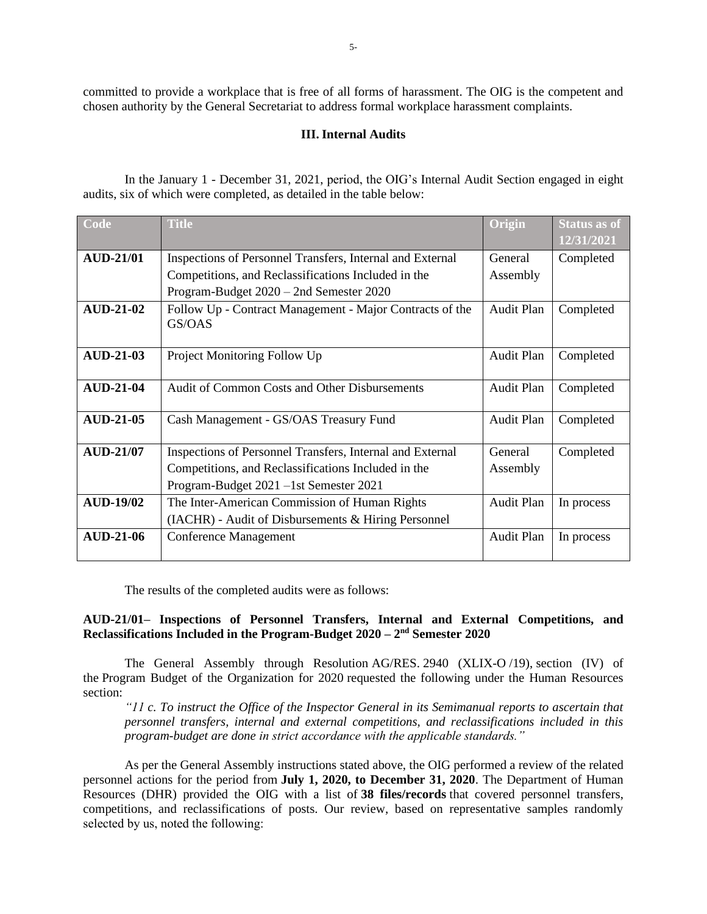<span id="page-5-0"></span>committed to provide a workplace that is free of all forms of harassment. The OIG is the competent and chosen authority by the General Secretariat to address formal workplace harassment complaints.

#### **III. Internal Audits**

In the January 1 - December 31, 2021, period, the OIG's Internal Audit Section engaged in eight audits, six of which were completed, as detailed in the table below:

| Code             | <b>Title</b>                                                       | Origin            | <b>Status as of</b> |
|------------------|--------------------------------------------------------------------|-------------------|---------------------|
|                  |                                                                    |                   | 12/31/2021          |
| <b>AUD-21/01</b> | Inspections of Personnel Transfers, Internal and External          | General           | Completed           |
|                  | Competitions, and Reclassifications Included in the                | Assembly          |                     |
|                  | Program-Budget 2020 - 2nd Semester 2020                            |                   |                     |
| <b>AUD-21-02</b> | Follow Up - Contract Management - Major Contracts of the<br>GS/OAS | <b>Audit Plan</b> | Completed           |
|                  |                                                                    |                   |                     |
| <b>AUD-21-03</b> | Project Monitoring Follow Up                                       | Audit Plan        | Completed           |
|                  |                                                                    |                   |                     |
| <b>AUD-21-04</b> | Audit of Common Costs and Other Disbursements                      | Audit Plan        | Completed           |
| <b>AUD-21-05</b> | Cash Management - GS/OAS Treasury Fund                             | Audit Plan        | Completed           |
|                  |                                                                    |                   |                     |
| <b>AUD-21/07</b> | Inspections of Personnel Transfers, Internal and External          | General           | Completed           |
|                  | Competitions, and Reclassifications Included in the                | Assembly          |                     |
|                  | Program-Budget 2021 -1st Semester 2021                             |                   |                     |
| <b>AUD-19/02</b> | The Inter-American Commission of Human Rights                      | Audit Plan        | In process          |
|                  | (IACHR) - Audit of Disbursements & Hiring Personnel                |                   |                     |
| <b>AUD-21-06</b> | <b>Conference Management</b>                                       | Audit Plan        | In process          |
|                  |                                                                    |                   |                     |

The results of the completed audits were as follows:

# **AUD-21/01– Inspections of Personnel Transfers, Internal and External Competitions, and Reclassifications Included in the Program-Budget 2020 – 2 nd Semester 2020**

The General Assembly through Resolution AG/RES. 2940 (XLIX-O /19), section (IV) of the Program Budget of the Organization for 2020 requested the following under the Human Resources section:

*"11 c. To instruct the Office of the Inspector General in its Semimanual reports to ascertain that personnel transfers, internal and external competitions, and reclassifications included in this program-budget are done in strict accordance with the applicable standards."*

As per the General Assembly instructions stated above, the OIG performed a review of the related personnel actions for the period from **July 1, 2020, to December 31, 2020**. The Department of Human Resources (DHR) provided the OIG with a list of **38 files/records** that covered personnel transfers, competitions, and reclassifications of posts. Our review, based on representative samples randomly selected by us, noted the following: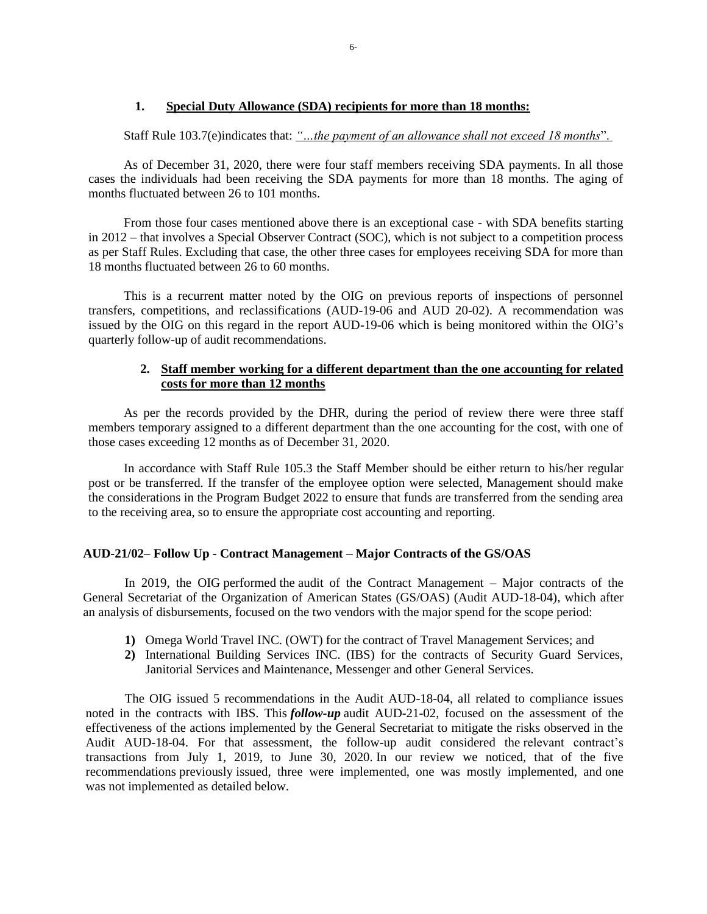# **1. Special Duty Allowance (SDA) recipients for more than 18 months:**

Staff Rule 103.7(e)indicates that: *"…the payment of an allowance shall not exceed 18 months*".

As of December 31, 2020, there were four staff members receiving SDA payments. In all those cases the individuals had been receiving the SDA payments for more than 18 months. The aging of months fluctuated between 26 to 101 months.

From those four cases mentioned above there is an exceptional case - with SDA benefits starting in 2012 – that involves a Special Observer Contract (SOC), which is not subject to a competition process as per Staff Rules. Excluding that case, the other three cases for employees receiving SDA for more than 18 months fluctuated between 26 to 60 months.

This is a recurrent matter noted by the OIG on previous reports of inspections of personnel transfers, competitions, and reclassifications (AUD-19-06 and AUD 20-02). A recommendation was issued by the OIG on this regard in the report AUD-19-06 which is being monitored within the OIG's quarterly follow-up of audit recommendations.

# **2. Staff member working for a different department than the one accounting for related costs for more than 12 months**

As per the records provided by the DHR, during the period of review there were three staff members temporary assigned to a different department than the one accounting for the cost, with one of those cases exceeding 12 months as of December 31, 2020.

In accordance with Staff Rule 105.3 the Staff Member should be either return to his/her regular post or be transferred. If the transfer of the employee option were selected, Management should make the considerations in the Program Budget 2022 to ensure that funds are transferred from the sending area to the receiving area, so to ensure the appropriate cost accounting and reporting.

# **AUD-21/02– Follow Up - Contract Management – Major Contracts of the GS/OAS**

In 2019, the OIG performed the audit of the Contract Management – Major contracts of the General Secretariat of the Organization of American States (GS/OAS) (Audit AUD-18-04), which after an analysis of disbursements, focused on the two vendors with the major spend for the scope period:

- **1)** Omega World Travel INC. (OWT) for the contract of Travel Management Services; and
- **2)** International Building Services INC. (IBS) for the contracts of Security Guard Services, Janitorial Services and Maintenance, Messenger and other General Services.

The OIG issued 5 recommendations in the Audit AUD-18-04, all related to compliance issues noted in the contracts with IBS. This *follow-up* audit AUD-21-02, focused on the assessment of the effectiveness of the actions implemented by the General Secretariat to mitigate the risks observed in the Audit AUD-18-04. For that assessment, the follow-up audit considered the relevant contract's transactions from July 1, 2019, to June 30, 2020. In our review we noticed, that of the five recommendations previously issued, three were implemented, one was mostly implemented, and one was not implemented as detailed below.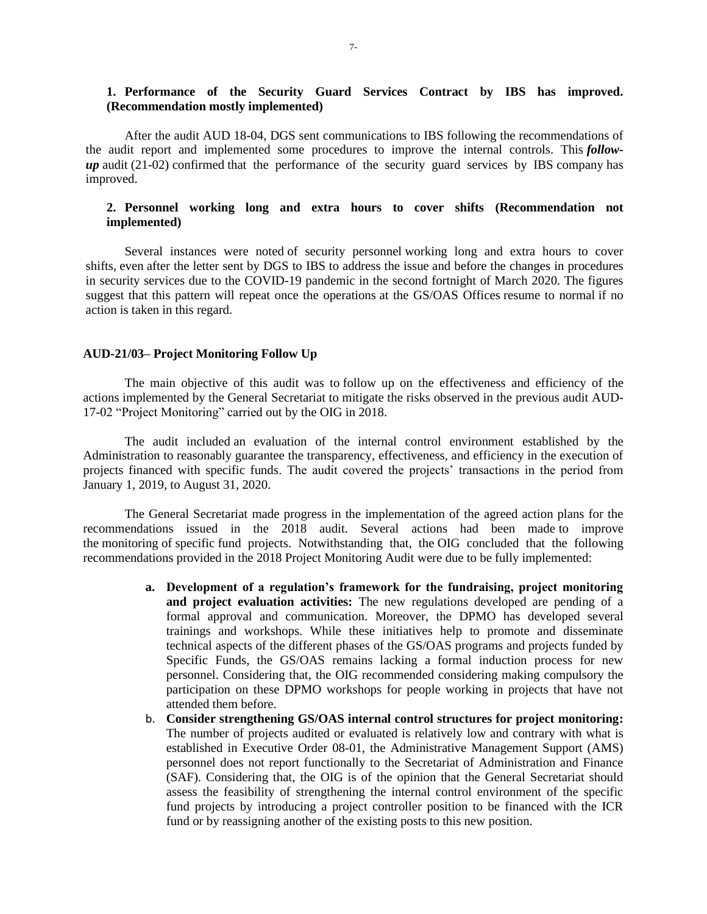# **1. Performance of the Security Guard Services Contract by IBS has improved. (Recommendation mostly implemented)**

After the audit AUD 18-04, DGS sent communications to IBS following the recommendations of the audit report and implemented some procedures to improve the internal controls. This *followup* audit (21-02) confirmed that the performance of the security guard services by IBS company has improved.

# **2. Personnel working long and extra hours to cover shifts (Recommendation not implemented)**

Several instances were noted of security personnel working long and extra hours to cover shifts, even after the letter sent by DGS to IBS to address the issue and before the changes in procedures in security services due to the COVID-19 pandemic in the second fortnight of March 2020. The figures suggest that this pattern will repeat once the operations at the GS/OAS Offices resume to normal if no action is taken in this regard.

#### **AUD-21/03– Project Monitoring Follow Up**

The main objective of this audit was to follow up on the effectiveness and efficiency of the actions implemented by the General Secretariat to mitigate the risks observed in the previous audit AUD-17-02 "Project Monitoring" carried out by the OIG in 2018.

The audit included an evaluation of the internal control environment established by the Administration to reasonably guarantee the transparency, effectiveness, and efficiency in the execution of projects financed with specific funds. The audit covered the projects' transactions in the period from January 1, 2019, to August 31, 2020.

The General Secretariat made progress in the implementation of the agreed action plans for the recommendations issued in the 2018 audit. Several actions had been made to improve the monitoring of specific fund projects. Notwithstanding that, the OIG concluded that the following recommendations provided in the 2018 Project Monitoring Audit were due to be fully implemented:

- **a. Development of a regulation's framework for the fundraising, project monitoring and project evaluation activities:** The new regulations developed are pending of a formal approval and communication. Moreover, the DPMO has developed several trainings and workshops. While these initiatives help to promote and disseminate technical aspects of the different phases of the GS/OAS programs and projects funded by Specific Funds, the GS/OAS remains lacking a formal induction process for new personnel. Considering that, the OIG recommended considering making compulsory the participation on these DPMO workshops for people working in projects that have not attended them before.
- b. **Consider strengthening GS/OAS internal control structures for project monitoring:** The number of projects audited or evaluated is relatively low and contrary with what is established in Executive Order 08-01, the Administrative Management Support (AMS) personnel does not report functionally to the Secretariat of Administration and Finance (SAF). Considering that, the OIG is of the opinion that the General Secretariat should assess the feasibility of strengthening the internal control environment of the specific fund projects by introducing a project controller position to be financed with the ICR fund or by reassigning another of the existing posts to this new position.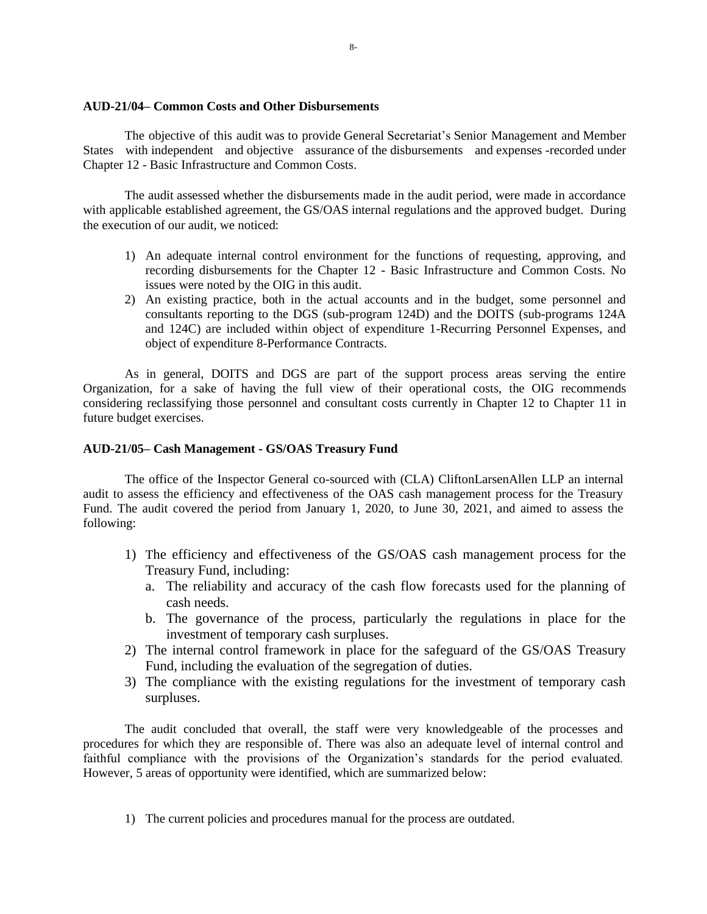#### **AUD-21/04– Common Costs and Other Disbursements**

The objective of this audit was to provide General Secretariat's Senior Management and Member States with independent and objective assurance of the disbursements and expenses -recorded under Chapter 12 - Basic Infrastructure and Common Costs.

The audit assessed whether the disbursements made in the audit period, were made in accordance with applicable established agreement, the GS/OAS internal regulations and the approved budget. During the execution of our audit, we noticed:

- 1) An adequate internal control environment for the functions of requesting, approving, and recording disbursements for the Chapter 12 - Basic Infrastructure and Common Costs. No issues were noted by the OIG in this audit.
- 2) An existing practice, both in the actual accounts and in the budget, some personnel and consultants reporting to the DGS (sub-program 124D) and the DOITS (sub-programs 124A and 124C) are included within object of expenditure 1-Recurring Personnel Expenses, and object of expenditure 8-Performance Contracts.

As in general, DOITS and DGS are part of the support process areas serving the entire Organization, for a sake of having the full view of their operational costs, the OIG recommends considering reclassifying those personnel and consultant costs currently in Chapter 12 to Chapter 11 in future budget exercises.

#### **AUD-21/05– Cash Management - GS/OAS Treasury Fund**

The office of the Inspector General co-sourced with (CLA) CliftonLarsenAllen LLP an internal audit to assess the efficiency and effectiveness of the OAS cash management process for the Treasury Fund. The audit covered the period from January 1, 2020, to June 30, 2021, and aimed to assess the following:

- 1) The efficiency and effectiveness of the GS/OAS cash management process for the Treasury Fund, including:
	- a. The reliability and accuracy of the cash flow forecasts used for the planning of cash needs.
	- b. The governance of the process, particularly the regulations in place for the investment of temporary cash surpluses.
- 2) The internal control framework in place for the safeguard of the GS/OAS Treasury Fund, including the evaluation of the segregation of duties.
- 3) The compliance with the existing regulations for the investment of temporary cash surpluses.

The audit concluded that overall, the staff were very knowledgeable of the processes and procedures for which they are responsible of. There was also an adequate level of internal control and faithful compliance with the provisions of the Organization's standards for the period evaluated. However, 5 areas of opportunity were identified, which are summarized below:

1) The current policies and procedures manual for the process are outdated.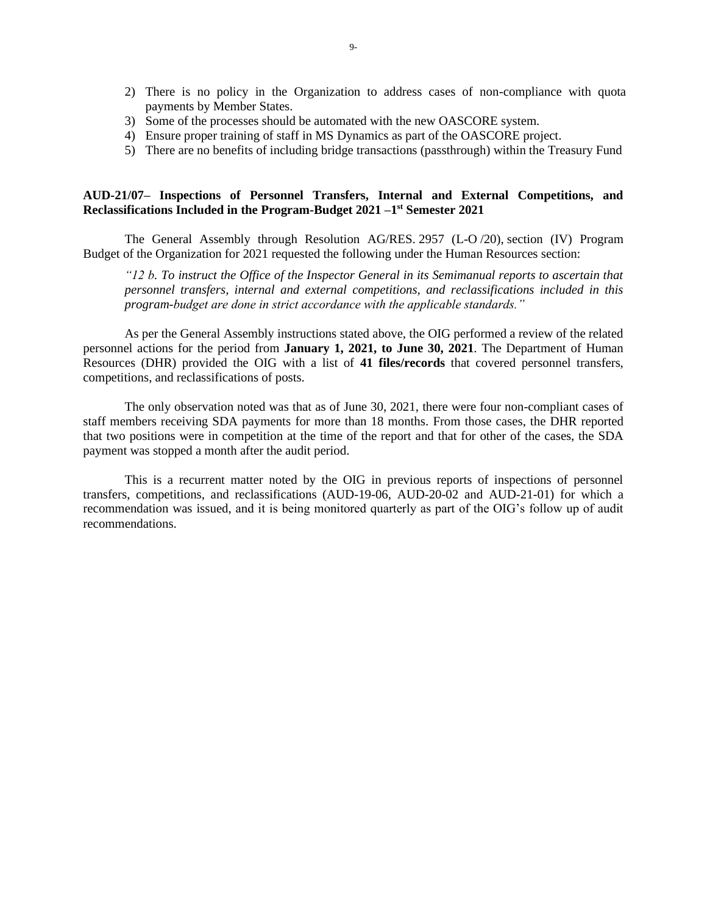- 2) There is no policy in the Organization to address cases of non-compliance with quota payments by Member States.
- 3) Some of the processes should be automated with the new OASCORE system.
- 4) Ensure proper training of staff in MS Dynamics as part of the OASCORE project.
- 5) There are no benefits of including bridge transactions (passthrough) within the Treasury Fund

# **AUD-21/07– Inspections of Personnel Transfers, Internal and External Competitions, and Reclassifications Included in the Program-Budget 2021 –1 st Semester 2021**

The General Assembly through Resolution AG/RES. 2957 (L-O /20), section (IV) Program Budget of the Organization for 2021 requested the following under the Human Resources section:

*"12 b. To instruct the Office of the Inspector General in its Semimanual reports to ascertain that personnel transfers, internal and external competitions, and reclassifications included in this program-budget are done in strict accordance with the applicable standards."*

As per the General Assembly instructions stated above, the OIG performed a review of the related personnel actions for the period from **January 1, 2021, to June 30, 2021**. The Department of Human Resources (DHR) provided the OIG with a list of **41 files/records** that covered personnel transfers, competitions, and reclassifications of posts.

The only observation noted was that as of June 30, 2021, there were four non-compliant cases of staff members receiving SDA payments for more than 18 months. From those cases, the DHR reported that two positions were in competition at the time of the report and that for other of the cases, the SDA payment was stopped a month after the audit period.

This is a recurrent matter noted by the OIG in previous reports of inspections of personnel transfers, competitions, and reclassifications (AUD-19-06, AUD-20-02 and AUD-21-01) for which a recommendation was issued, and it is being monitored quarterly as part of the OIG's follow up of audit recommendations.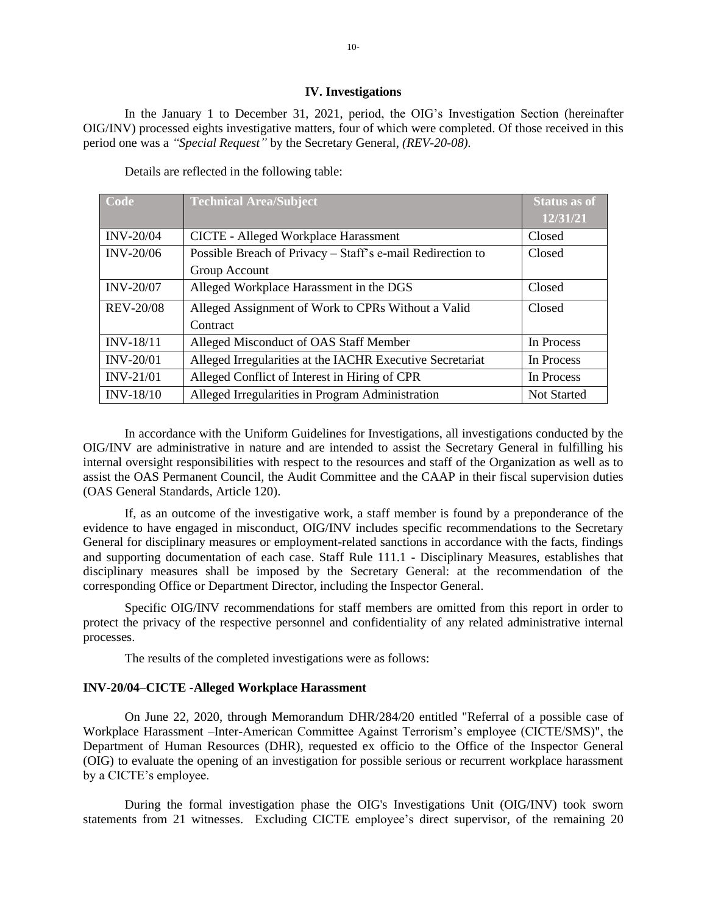#### **IV. Investigations**

<span id="page-10-0"></span>In the January 1 to December 31, 2021, period, the OIG's Investigation Section (hereinafter OIG/INV) processed eights investigative matters, four of which were completed. Of those received in this period one was a *"Special Request"* by the Secretary General, *(REV-20-08).*

| <b>Code</b>      | <b>Technical Area/Subject</b>                              | <b>Status as of</b> |
|------------------|------------------------------------------------------------|---------------------|
|                  |                                                            | 12/31/21            |
| <b>INV-20/04</b> | CICTE - Alleged Workplace Harassment                       | Closed              |
| <b>INV-20/06</b> | Possible Breach of Privacy - Staff's e-mail Redirection to | Closed              |
|                  | Group Account                                              |                     |
| <b>INV-20/07</b> | Alleged Workplace Harassment in the DGS                    | Closed              |
| <b>REV-20/08</b> | Alleged Assignment of Work to CPRs Without a Valid         | Closed              |
|                  | Contract                                                   |                     |
| INV-18/11        | Alleged Misconduct of OAS Staff Member                     | In Process          |
| <b>INV-20/01</b> | Alleged Irregularities at the IACHR Executive Secretariat  | In Process          |
| <b>INV-21/01</b> | Alleged Conflict of Interest in Hiring of CPR              | In Process          |
| <b>INV-18/10</b> | Alleged Irregularities in Program Administration           | <b>Not Started</b>  |

Details are reflected in the following table:

In accordance with the Uniform Guidelines for Investigations, all investigations conducted by the OIG/INV are administrative in nature and are intended to assist the Secretary General in fulfilling his internal oversight responsibilities with respect to the resources and staff of the Organization as well as to assist the OAS Permanent Council, the Audit Committee and the CAAP in their fiscal supervision duties (OAS General Standards, Article 120).

If, as an outcome of the investigative work, a staff member is found by a preponderance of the evidence to have engaged in misconduct, OIG/INV includes specific recommendations to the Secretary General for disciplinary measures or employment-related sanctions in accordance with the facts, findings and supporting documentation of each case. Staff Rule 111.1 - Disciplinary Measures, establishes that disciplinary measures shall be imposed by the Secretary General: at the recommendation of the corresponding Office or Department Director, including the Inspector General.

Specific OIG/INV recommendations for staff members are omitted from this report in order to protect the privacy of the respective personnel and confidentiality of any related administrative internal processes.

The results of the completed investigations were as follows:

## **INV-20/04–CICTE -Alleged Workplace Harassment**

On June 22, 2020, through Memorandum DHR/284/20 entitled "Referral of a possible case of Workplace Harassment –Inter-American Committee Against Terrorism's employee (CICTE/SMS)", the Department of Human Resources (DHR), requested ex officio to the Office of the Inspector General (OIG) to evaluate the opening of an investigation for possible serious or recurrent workplace harassment by a CICTE's employee.

During the formal investigation phase the OIG's Investigations Unit (OIG/INV) took sworn statements from 21 witnesses. Excluding CICTE employee's direct supervisor, of the remaining 20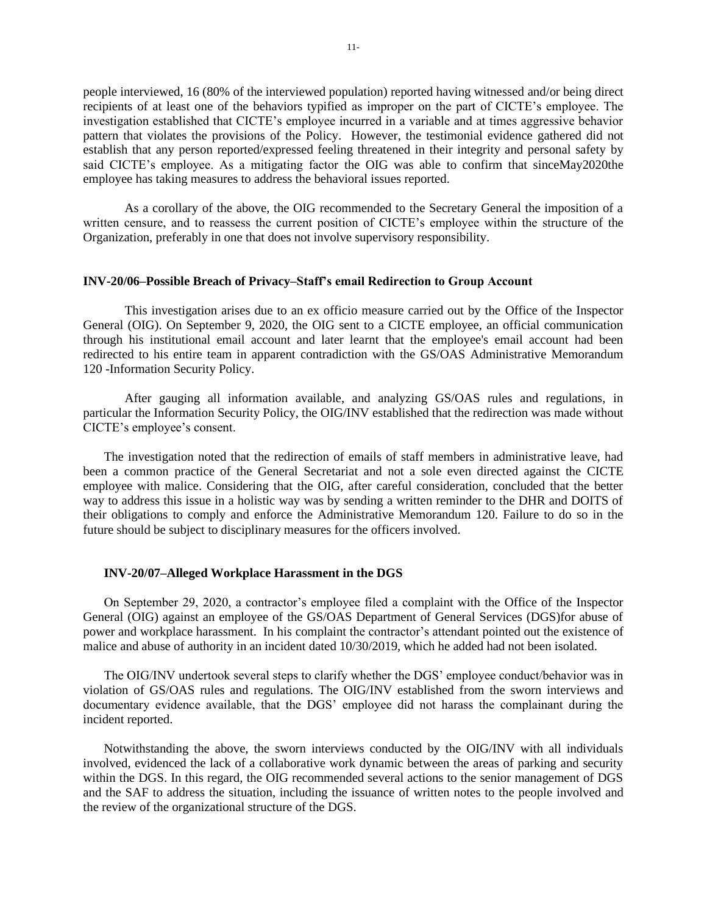people interviewed, 16 (80% of the interviewed population) reported having witnessed and/or being direct recipients of at least one of the behaviors typified as improper on the part of CICTE's employee. The investigation established that CICTE's employee incurred in a variable and at times aggressive behavior pattern that violates the provisions of the Policy. However, the testimonial evidence gathered did not establish that any person reported/expressed feeling threatened in their integrity and personal safety by said CICTE's employee. As a mitigating factor the OIG was able to confirm that sinceMay2020the employee has taking measures to address the behavioral issues reported.

As a corollary of the above, the OIG recommended to the Secretary General the imposition of a written censure, and to reassess the current position of CICTE's employee within the structure of the Organization, preferably in one that does not involve supervisory responsibility.

#### **INV-20/06–Possible Breach of Privacy–Staff's email Redirection to Group Account**

This investigation arises due to an ex officio measure carried out by the Office of the Inspector General (OIG). On September 9, 2020, the OIG sent to a CICTE employee, an official communication through his institutional email account and later learnt that the employee's email account had been redirected to his entire team in apparent contradiction with the GS/OAS Administrative Memorandum 120 -Information Security Policy.

After gauging all information available, and analyzing GS/OAS rules and regulations, in particular the Information Security Policy, the OIG/INV established that the redirection was made without CICTE's employee's consent.

The investigation noted that the redirection of emails of staff members in administrative leave, had been a common practice of the General Secretariat and not a sole even directed against the CICTE employee with malice. Considering that the OIG, after careful consideration, concluded that the better way to address this issue in a holistic way was by sending a written reminder to the DHR and DOITS of their obligations to comply and enforce the Administrative Memorandum 120. Failure to do so in the future should be subject to disciplinary measures for the officers involved.

#### **INV-20/07–Alleged Workplace Harassment in the DGS**

On September 29, 2020, a contractor's employee filed a complaint with the Office of the Inspector General (OIG) against an employee of the GS/OAS Department of General Services (DGS)for abuse of power and workplace harassment. In his complaint the contractor's attendant pointed out the existence of malice and abuse of authority in an incident dated 10/30/2019, which he added had not been isolated.

The OIG/INV undertook several steps to clarify whether the DGS' employee conduct/behavior was in violation of GS/OAS rules and regulations. The OIG/INV established from the sworn interviews and documentary evidence available, that the DGS' employee did not harass the complainant during the incident reported.

Notwithstanding the above, the sworn interviews conducted by the OIG/INV with all individuals involved, evidenced the lack of a collaborative work dynamic between the areas of parking and security within the DGS. In this regard, the OIG recommended several actions to the senior management of DGS and the SAF to address the situation, including the issuance of written notes to the people involved and the review of the organizational structure of the DGS.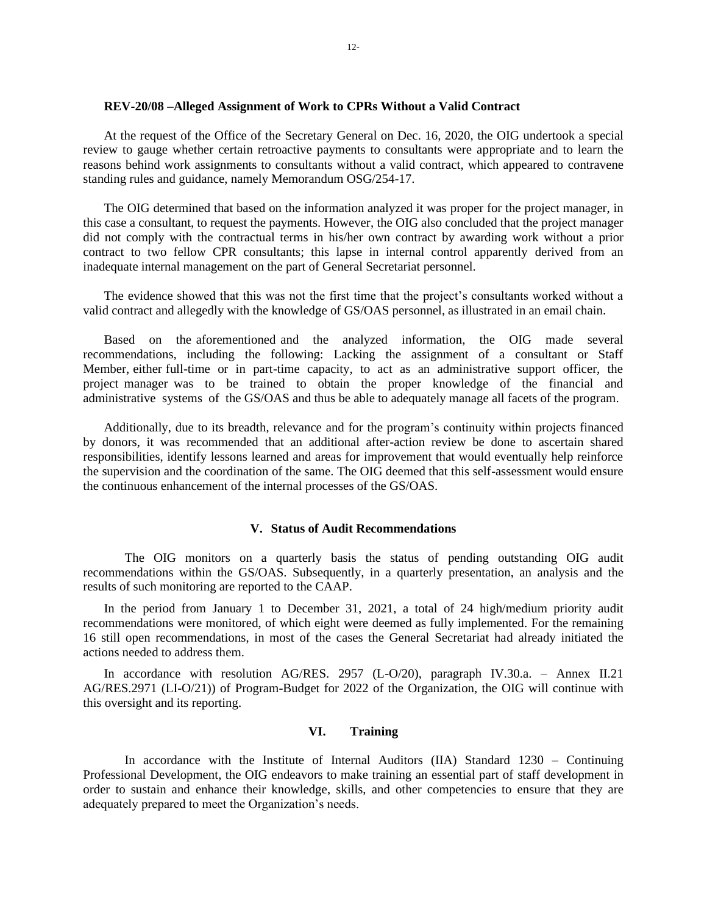#### **REV-20/08 –Alleged Assignment of Work to CPRs Without a Valid Contract**

At the request of the Office of the Secretary General on Dec. 16, 2020, the OIG undertook a special review to gauge whether certain retroactive payments to consultants were appropriate and to learn the reasons behind work assignments to consultants without a valid contract, which appeared to contravene standing rules and guidance, namely Memorandum OSG/254-17.

The OIG determined that based on the information analyzed it was proper for the project manager, in this case a consultant, to request the payments. However, the OIG also concluded that the project manager did not comply with the contractual terms in his/her own contract by awarding work without a prior contract to two fellow CPR consultants; this lapse in internal control apparently derived from an inadequate internal management on the part of General Secretariat personnel.

The evidence showed that this was not the first time that the project's consultants worked without a valid contract and allegedly with the knowledge of GS/OAS personnel, as illustrated in an email chain.

Based on the aforementioned and the analyzed information, the OIG made several recommendations, including the following: Lacking the assignment of a consultant or Staff Member, either full-time or in part-time capacity, to act as an administrative support officer, the project manager was to be trained to obtain the proper knowledge of the financial and administrative systems of the GS/OAS and thus be able to adequately manage all facets of the program.

Additionally, due to its breadth, relevance and for the program's continuity within projects financed by donors, it was recommended that an additional after-action review be done to ascertain shared responsibilities, identify lessons learned and areas for improvement that would eventually help reinforce the supervision and the coordination of the same. The OIG deemed that this self-assessment would ensure the continuous enhancement of the internal processes of the GS/OAS.

#### **V. Status of Audit Recommendations**

<span id="page-12-0"></span>The OIG monitors on a quarterly basis the status of pending outstanding OIG audit recommendations within the GS/OAS. Subsequently, in a quarterly presentation, an analysis and the results of such monitoring are reported to the CAAP.

In the period from January 1 to December 31, 2021, a total of 24 high/medium priority audit recommendations were monitored, of which eight were deemed as fully implemented. For the remaining 16 still open recommendations, in most of the cases the General Secretariat had already initiated the actions needed to address them.

<span id="page-12-1"></span>In accordance with resolution AG/RES. 2957 (L-O/20), paragraph IV.30.a. – Annex II.21 AG/RES.2971 (LI-O/21)) of Program-Budget for 2022 of the Organization, the OIG will continue with this oversight and its reporting.

#### **VI. Training**

In accordance with the Institute of Internal Auditors (IIA) Standard 1230 – Continuing Professional Development, the OIG endeavors to make training an essential part of staff development in order to sustain and enhance their knowledge, skills, and other competencies to ensure that they are adequately prepared to meet the Organization's needs.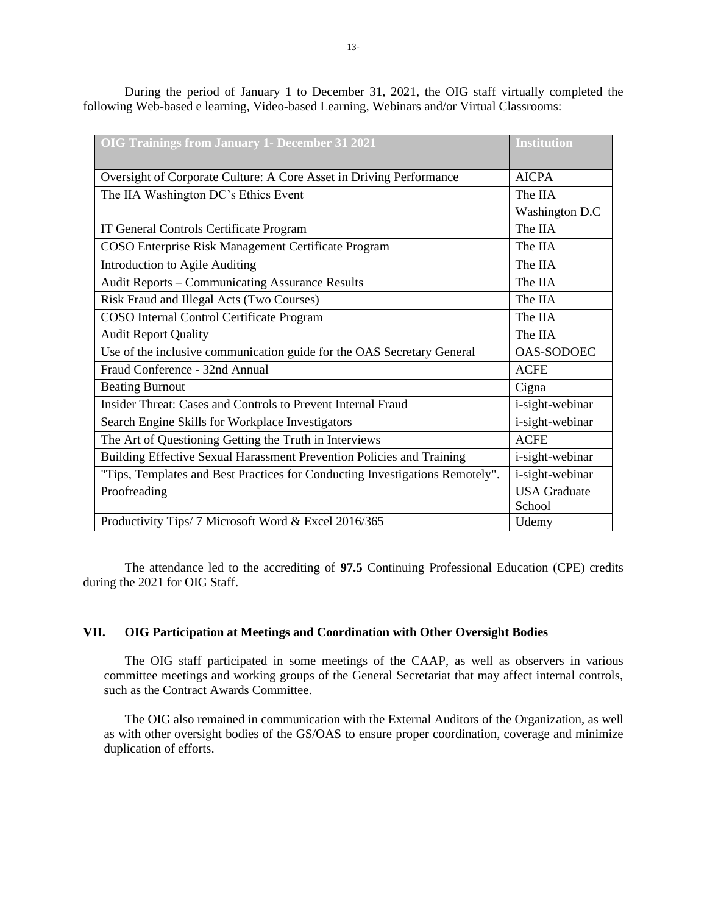| <b>OIG Trainings from January 1- December 31 2021</b>                        | <b>Institution</b>  |
|------------------------------------------------------------------------------|---------------------|
| Oversight of Corporate Culture: A Core Asset in Driving Performance          | <b>AICPA</b>        |
| The IIA Washington DC's Ethics Event                                         | The IIA             |
|                                                                              | Washington D.C      |
| IT General Controls Certificate Program                                      | The IIA             |
| COSO Enterprise Risk Management Certificate Program                          | The IIA             |
| Introduction to Agile Auditing                                               | The IIA             |
| <b>Audit Reports - Communicating Assurance Results</b>                       | The IIA             |
| Risk Fraud and Illegal Acts (Two Courses)                                    | The IIA             |
| COSO Internal Control Certificate Program                                    | The IIA             |
| <b>Audit Report Quality</b>                                                  | The IIA             |
| Use of the inclusive communication guide for the OAS Secretary General       | <b>OAS-SODOEC</b>   |
| Fraud Conference - 32nd Annual                                               | <b>ACFE</b>         |
| <b>Beating Burnout</b>                                                       | Cigna               |
| Insider Threat: Cases and Controls to Prevent Internal Fraud                 | i-sight-webinar     |
| Search Engine Skills for Workplace Investigators                             | i-sight-webinar     |
| The Art of Questioning Getting the Truth in Interviews                       | <b>ACFE</b>         |
| Building Effective Sexual Harassment Prevention Policies and Training        | i-sight-webinar     |
| "Tips, Templates and Best Practices for Conducting Investigations Remotely". | i-sight-webinar     |
| Proofreading                                                                 | <b>USA</b> Graduate |
|                                                                              | School              |
| Productivity Tips/ 7 Microsoft Word & Excel 2016/365                         | Udemy               |

During the period of January 1 to December 31, 2021, the OIG staff virtually completed the following Web-based e learning, Video-based Learning, Webinars and/or Virtual Classrooms:

The attendance led to the accrediting of **97.5** Continuing Professional Education (CPE) credits during the 2021 for OIG Staff.

# <span id="page-13-0"></span>**VII. OIG Participation at Meetings and Coordination with Other Oversight Bodies**

The OIG staff participated in some meetings of the CAAP, as well as observers in various committee meetings and working groups of the General Secretariat that may affect internal controls, such as the Contract Awards Committee.

The OIG also remained in communication with the External Auditors of the Organization, as well as with other oversight bodies of the GS/OAS to ensure proper coordination, coverage and minimize duplication of efforts.